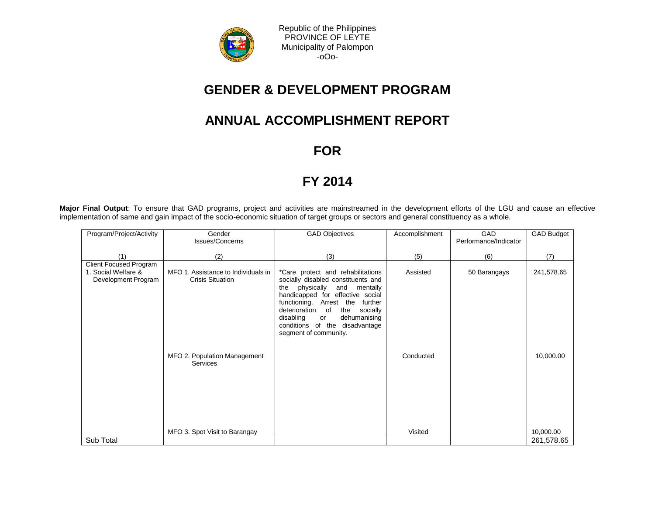

Republic of the Philippines PROVINCE OF LEYTE Municipality of Palompon -oOo-

## **GENDER & DEVELOPMENT PROGRAM**

## **ANNUAL ACCOMPLISHMENT REPORT**

**FOR**

## **FY 2014**

**Major Final Output**: To ensure that GAD programs, project and activities are mainstreamed in the development efforts of the LGU and cause an effective implementation of same and gain impact of the socio-economic situation of target groups or sectors and general constituency as a whole.

| (2)                                                                                                               | (3)                                                                                                                                                                                                                                                                                                                               |                       |              |                         |
|-------------------------------------------------------------------------------------------------------------------|-----------------------------------------------------------------------------------------------------------------------------------------------------------------------------------------------------------------------------------------------------------------------------------------------------------------------------------|-----------------------|--------------|-------------------------|
|                                                                                                                   |                                                                                                                                                                                                                                                                                                                                   |                       |              |                         |
|                                                                                                                   |                                                                                                                                                                                                                                                                                                                                   | (5)                   | (6)          | (7)                     |
| MFO 1. Assistance to Individuals in<br><b>Crisis Situation</b><br>MFO 2. Population Management<br><b>Services</b> | *Care protect and rehabilitations<br>socially disabled constituents and<br>physically<br>and<br>mentally<br>the<br>handicapped for effective social<br>functioning. Arrest the<br>further<br>deterioration<br>of<br>the<br>socially<br>disabling<br>dehumanising<br>or<br>conditions of the disadvantage<br>segment of community. | Assisted<br>Conducted | 50 Barangays | 241,578.65<br>10,000.00 |
| MFO 3. Spot Visit to Barangay                                                                                     |                                                                                                                                                                                                                                                                                                                                   | Visited               |              | 10,000.00<br>261,578.65 |
|                                                                                                                   |                                                                                                                                                                                                                                                                                                                                   |                       |              |                         |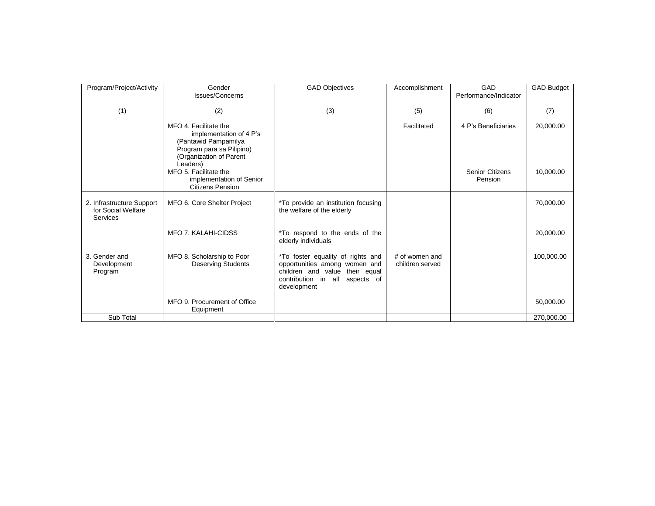| Program/Project/Activity                                    | Gender<br><b>Issues/Concerns</b>                                                                                                             | <b>GAD Objectives</b>                                                                                                                                 | Accomplishment                    | GAD<br>Performance/Indicator      | <b>GAD Budget</b> |
|-------------------------------------------------------------|----------------------------------------------------------------------------------------------------------------------------------------------|-------------------------------------------------------------------------------------------------------------------------------------------------------|-----------------------------------|-----------------------------------|-------------------|
|                                                             |                                                                                                                                              |                                                                                                                                                       |                                   |                                   |                   |
| (1)                                                         | (2)                                                                                                                                          | (3)                                                                                                                                                   | (5)                               | (6)                               | (7)               |
|                                                             | MFO 4. Facilitate the<br>implementation of 4 P's<br>(Pantawid Pampamilya<br>Program para sa Pilipino)<br>(Organization of Parent<br>Leaders) |                                                                                                                                                       | Facilitated                       | 4 P's Beneficiaries               | 20,000.00         |
|                                                             | MFO 5. Facilitate the<br>implementation of Senior<br><b>Citizens Pension</b>                                                                 |                                                                                                                                                       |                                   | <b>Senior Citizens</b><br>Pension | 10,000.00         |
| 2. Infrastructure Support<br>for Social Welfare<br>Services | MFO 6. Core Shelter Project                                                                                                                  | *To provide an institution focusing<br>the welfare of the elderly                                                                                     |                                   |                                   | 70,000.00         |
|                                                             | <b>MFO 7. KALAHI-CIDSS</b>                                                                                                                   | *To respond to the ends of the<br>elderly individuals                                                                                                 |                                   |                                   | 20,000.00         |
| 3. Gender and<br>Development<br>Program                     | MFO 8. Scholarship to Poor<br><b>Deserving Students</b>                                                                                      | *To foster equality of rights and<br>opportunities among women and<br>children and value their equal<br>contribution in all aspects of<br>development | # of women and<br>children served |                                   | 100,000.00        |
|                                                             | MFO 9. Procurement of Office<br>Equipment                                                                                                    |                                                                                                                                                       |                                   |                                   | 50,000.00         |
| Sub Total                                                   |                                                                                                                                              |                                                                                                                                                       |                                   |                                   | 270,000.00        |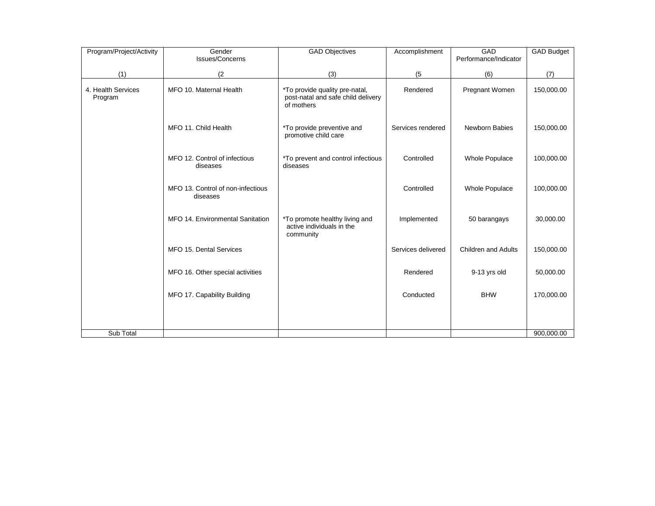| Program/Project/Activity      | Gender<br>Issues/Concerns                     | <b>GAD Objectives</b>                                                              | Accomplishment     | GAD<br>Performance/Indicator | <b>GAD Budget</b> |
|-------------------------------|-----------------------------------------------|------------------------------------------------------------------------------------|--------------------|------------------------------|-------------------|
| (1)                           | (2)                                           | (3)                                                                                | (5)                | (6)                          | (7)               |
| 4. Health Services<br>Program | MFO 10. Maternal Health                       | *To provide quality pre-natal,<br>post-natal and safe child delivery<br>of mothers | Rendered           | Pregnant Women               | 150,000.00        |
|                               | MFO 11. Child Health                          | *To provide preventive and<br>promotive child care                                 | Services rendered  | Newborn Babies               | 150,000.00        |
|                               | MFO 12. Control of infectious<br>diseases     | *To prevent and control infectious<br>diseases                                     | Controlled         | <b>Whole Populace</b>        | 100,000.00        |
|                               | MFO 13. Control of non-infectious<br>diseases |                                                                                    | Controlled         | <b>Whole Populace</b>        | 100,000.00        |
|                               | MFO 14. Environmental Sanitation              | *To promote healthy living and<br>active individuals in the<br>community           | Implemented        | 50 barangays                 | 30,000.00         |
|                               | MFO 15. Dental Services                       |                                                                                    | Services delivered | Children and Adults          | 150,000.00        |
|                               | MFO 16. Other special activities              |                                                                                    | Rendered           | 9-13 yrs old                 | 50,000.00         |
|                               | MFO 17. Capability Building                   |                                                                                    | Conducted          | <b>BHW</b>                   | 170,000.00        |
|                               |                                               |                                                                                    |                    |                              |                   |
| Sub Total                     |                                               |                                                                                    |                    |                              | 900,000.00        |